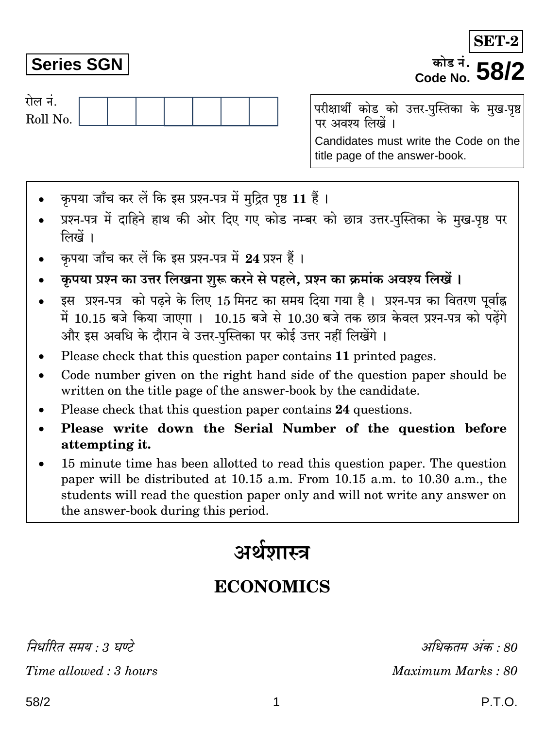निर्धारित समय : 3 घण्टे Time allowed: 3 hours

# **Series SGN**

रोल नं.

Roll No.

परीक्षार्थी कोड को उत्तर-पुस्तिका के मुख-पृष्ठ पर अवश्य लिखें ।

Candidates must write the Code on the title page of the answer-book.

- कपया जाँच कर लें कि इस प्रश्न-पत्र में मुद्रित पृष्ठ 11 हैं।
- प्रश्न-पत्र में दाहिने हाथ की ओर दिए गए कोड नम्बर को छात्र उत्तर-पुस्तिका के मुख-पृष्ठ पर लिखें ।
- कपया जाँच कर लें कि इस प्रश्न-पत्र में 24 प्रश्न हैं।
- कृपया प्रश्न का उत्तर लिखना शुरू करने से पहले, प्रश्न का क्रमांक अवश्य लिखें ।
- इस प्रश्न-पत्र को पढ़ने के लिए 15 मिनट का समय दिया गया है। प्रश्न-पत्र का वितरण पर्वाह्न में 10.15 बजे किया जाएगा । 10.15 बजे से 10.30 बजे तक छात्र केवल प्रश्न-पत्र को पढ़ेंगे और इस अवधि के दौरान वे उत्तर-पस्तिका पर कोई उत्तर नहीं लिखेंगे ।
- Please check that this question paper contains 11 printed pages.
- Code number given on the right hand side of the question paper should be  $\bullet$ written on the title page of the answer-book by the candidate.
- Please check that this question paper contains 24 questions.
- Please write down the Serial Number of the question before attempting it.
- 15 minute time has been allotted to read this question paper. The question paper will be distributed at 10.15 a.m. From 10.15 a.m. to 10.30 a.m., the students will read the question paper only and will not write any answer on the answer-book during this period.

# अर्थशास्त्र

# **ECONOMICS**

1

अधिकतम अंक : 80 Maximum Marks: 80

<sup>कोड नं</sup>. **58** Code No.

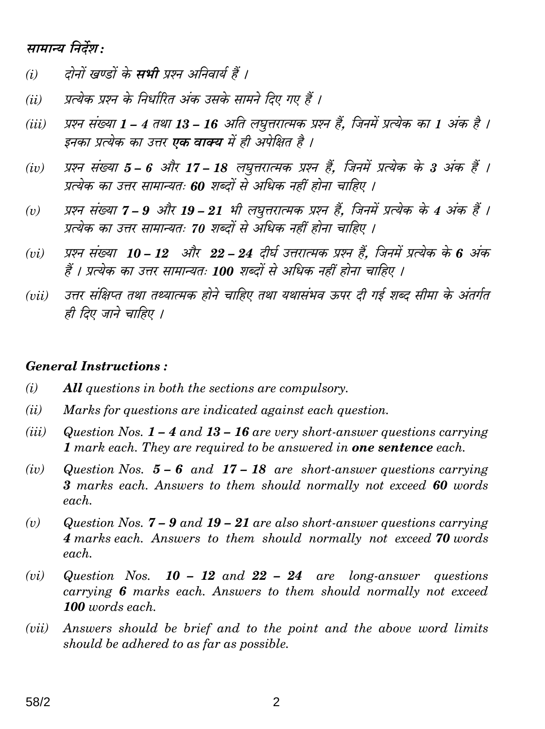## सामान्य निर्देश:

- दोनों खण्डों के **सभी** प्रश्न अनिवार्य हैं ।  $(i)$
- प्रत्येक प्रश्न के निर्धारित अंक उसके सामने दिए गए हैं ।  $(ii)$
- प्रश्न संख्या 1 4 तथा 13 16 अति लघृत्तरात्मक प्रश्न हैं. जिनमें प्रत्येक का 1 अंक है ।  $(iii)$ इनका प्रत्येक का उत्तर **एक वाक्य** में ही अपेक्षित है ।
- प्रश्न संख्या 5 6 और 17 18 लघुत्तरात्मक प्रश्न हैं, जिनमें प्रत्येक के 3 अंक हैं ।  $(iv)$ प्रत्येक का उत्तर सामान्यतः 60 शब्दों से अधिक नहीं होना चाहिए ।
- प्रश्न संख्या 7 9 और 19 21 भी लघुत्तरात्मक प्रश्न हैं, जिनमें प्रत्येक के 4 अंक हैं ।  $(v)$ प्रत्येक का उत्तर सामान्यतः 70 शब्दों से अधिक नहीं होना चाहिए ।
- प्रश्न संख्या 10 12 और 22 24 दीर्घ उत्तरात्मक प्रश्न हैं. जिनमें प्रत्येक के 6 अंक  $(vi)$ हैं । प्रत्येक का उत्तर सामान्यतः 100 शब्दों से अधिक नहीं होना चाहिए ।
- उत्तर संक्षिप्त तथा तथ्यात्मक होने चाहिए तथा यथासंभव ऊपर दी गई शब्द सीमा के अंतर्गत  $(iii)$ ही दिए जाने चाहिए ।

#### **General Instructions:**

- $(i)$ **All** questions in both the sections are compulsory.
- $(ii)$ Marks for questions are indicated against each question.
- $(iii)$ Question Nos.  $1 - 4$  and  $13 - 16$  are very short-answer questions carrying 1 mark each. They are required to be answered in **one sentence** each.
- $(iv)$ Question Nos.  $5 - 6$  and  $17 - 18$  are short-answer questions carrying 3 marks each. Answers to them should normally not exceed 60 words each.
- Question Nos.  $7 9$  and  $19 21$  are also short-answer questions carrying  $(v)$ 4 marks each. Answers to them should normally not exceed 70 words each.
- $(vi)$ Question Nos.  $10 - 12$  and  $22 - 24$  are long-answer questions carrying 6 marks each. Answers to them should normally not exceed 100 words each.
- Answers should be brief and to the point and the above word limits  $(vii)$ should be adhered to as far as possible.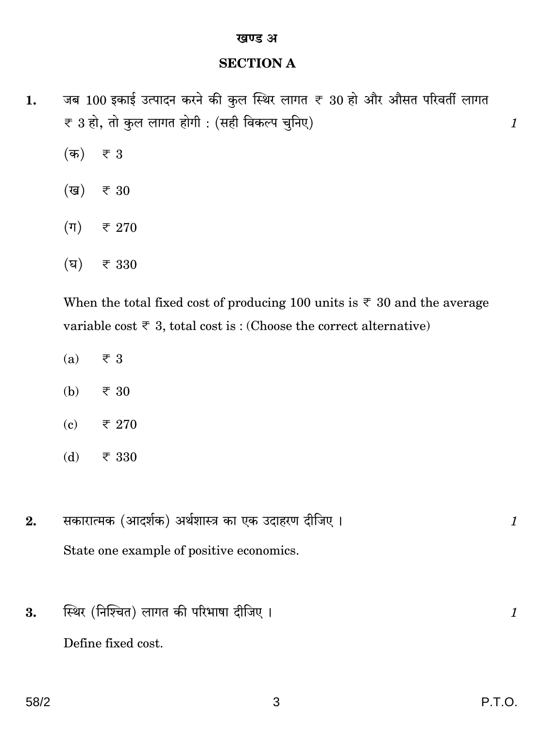#### खण्ड अ

#### **SECTION A**

- जब 100 इकाई उत्पादन करने की कुल स्थिर लागत ₹ 30 हो और औसत परिवर्ती लागत 1. ₹ 3 हो, तो कुल लागत होगी : (सही विकल्प चुनिए)
	- $(\overline{a})$  $\overline{\overline{\xi}}$  3
	- (ख) ₹ 30
	- $(\pi)$ ₹ 270
	- $(\nabla)$  $\overline{\tau}$ 330

When the total fixed cost of producing 100 units is  $\overline{\tau}$  30 and the average variable cost  $\overline{\tau}$  3, total cost is: (Choose the correct alternative)

- $(a)$  $\overline{\tau}$  3
- $(b)$ ₹ 30
- $(c)$ ₹ 270
- $(d)$ ₹ 330
- सकारात्मक (आदर्शक) अर्थशास्त्र का एक उदाहरण दीजिए।  $2.$ State one example of positive economics.
- स्थिर (निश्चित) लागत की परिभाषा दीजिए। 3. Define fixed cost.

 $\mathcal{I}$ 

 $\mathcal{I}_{\mathcal{L}}$ 

 $\boldsymbol{\mathit{1}}$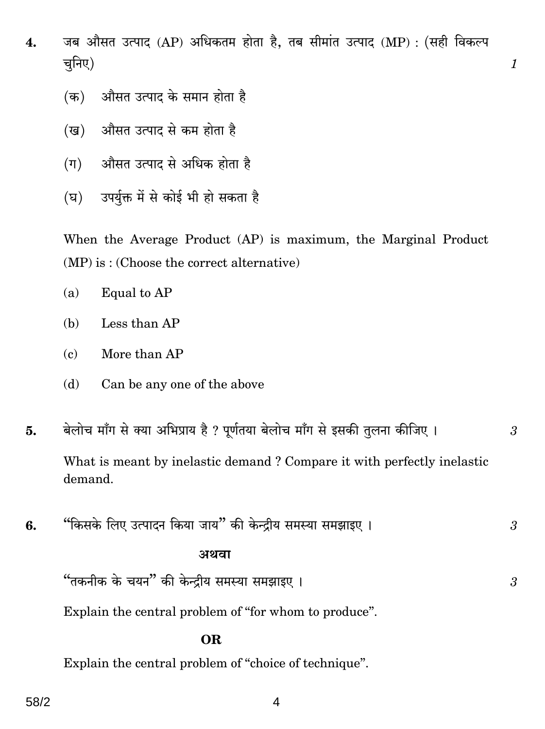जब औसत उत्पाद (AP) अधिकतम होता है, तब सीमांत उत्पाद (MP) : (सही विकल्प 4. चनिए)

 $\mathcal{I}_{\mathcal{L}}$ 

3

- औसत उत्पाद के समान होता है (क)
- औसत उत्पाद से कम होता है (ख)
- औसत उत्पाद से अधिक होता है  $(\Pi)$
- (घ) उपर्यक्त में से कोई भी हो सकता है

When the Average Product (AP) is maximum, the Marginal Product  $(MP)$  is: (Choose the correct alternative)

- Equal to AP  $(a)$
- (b) Less than AP
- More than AP  $(c)$
- Can be any one of the above (d)
- बेलोच माँग से क्या अभिप्राय है ? पूर्णतया बेलोच माँग से इसकी तुलना कीजिए । 5.  $\mathcal{S}$ What is meant by inelastic demand? Compare it with perfectly inelastic demand.
- "किसके लिए उत्पादन किया जाय" की केन्द्रीय समस्या समझाइए। 6. 3

#### अथवा

"तकनीक के चयन" की केन्द्रीय समस्या समझाइए।

Explain the central problem of "for whom to produce".

#### **OR**

Explain the central problem of "choice of technique".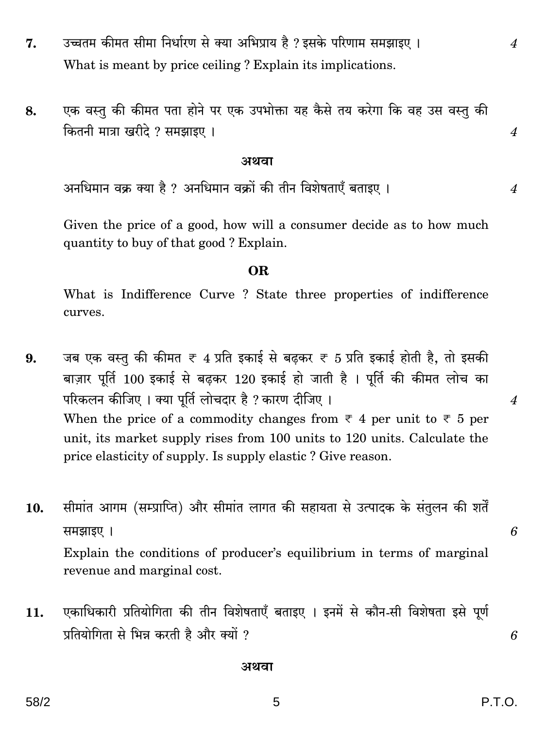- उच्चतम कीमत सीमा निर्धारण से क्या अभिप्राय है ? इसके परिणाम समझाइए । 7. What is meant by price ceiling? Explain its implications.
- एक वस्तु की कीमत पता होने पर एक उपभोक्ता यह कैसे तय करेगा कि वह उस वस्तु की 8. कितनी मात्रा खरीदे ? समझाइए ।

#### अथवा

अनधिमान वक्र क्या है ? अनधिमान वक्रों की तीन विशेषताएँ बताइए ।

Given the price of a good, how will a consumer decide as to how much quantity to buy of that good? Explain.

#### **OR**

What is Indifference Curve ? State three properties of indifference curves.

- जब एक वस्तु की कीमत ₹ 4 प्रति इकाई से बढ़कर ₹ 5 प्रति इकाई होती है, तो इसकी 9. बाज़ार पूर्ति 100 इकाई से बढ़कर 120 इकाई हो जाती है। पूर्ति की कीमत लोच का परिकलन कीजिए । क्या पूर्ति लोचदार है ? कारण दीजिए । When the price of a commodity changes from  $\overline{\tau}$  4 per unit to  $\overline{\tau}$  5 per unit, its market supply rises from 100 units to 120 units. Calculate the price elasticity of supply. Is supply elastic? Give reason.
- सीमांत आगम (सम्प्राप्ति) और सीमांत लागत की सहायता से उत्पादक के संतुलन की शर्तें  $10.$ समझाइए। Explain the conditions of producer's equilibrium in terms of marginal revenue and marginal cost.
- एकाधिकारी प्रतियोगिता की तीन विशेषताएँ बताइए । इनमें से कौन-सी विशेषता इसे पूर्ण 11. प्रतियोगिता से भिन्न करती है और क्यों ?

#### अथवा

 $\overline{4}$ 

 $\overline{4}$ 

 $\boldsymbol{4}$ 

6

6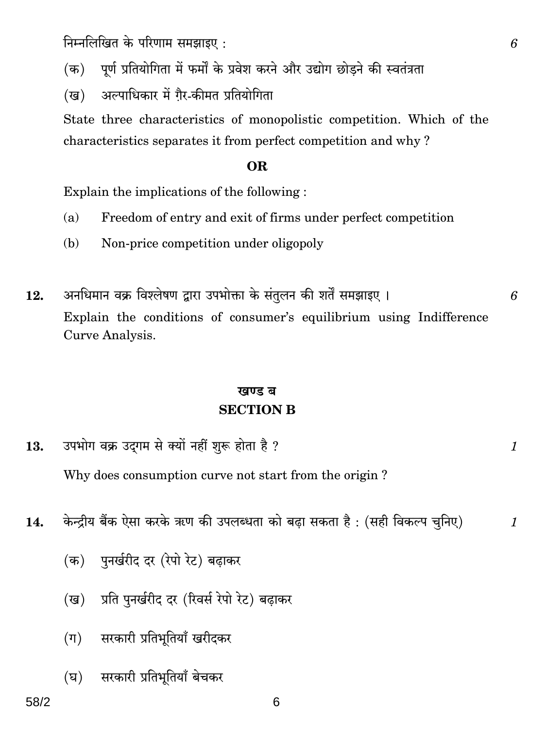निम्नलिखित के परिणाम समझाइए:

पूर्ण प्रतियोगिता में फर्मों के प्रवेश करने और उद्योग छोडने की स्वतंत्रता  $(\overline{a})$ 

अल्पाधिकार में गैर-कीमत प्रतियोगिता (ख)

State three characteristics of monopolistic competition. Which of the characteristics separates it from perfect competition and why?

#### OR.

Explain the implications of the following:

- Freedom of entry and exit of firms under perfect competition  $(a)$
- Non-price competition under oligopoly  $(h)$
- अनधिमान वक्र विश्लेषण द्वारा उपभोक्ता के संतुलन की शर्तें समझाइए ।  $12.$ Explain the conditions of consumer's equilibrium using Indifference Curve Analysis.

### खण्ड ब **SECTION B**

उपभोग वक्र उदगम से क्यों नहीं शुरू होता है ? 13.

Why does consumption curve not start from the origin?

- केन्द्रीय बैंक ऐसा करके ऋण की उपलब्धता को बढा सकता है: (सही विकल्प चुनिए)  $14.$ 
	- (क) पुनर्खरीद दर (रेपो रेट) बढाकर
	- प्रति पुनर्खरीद दर (रिवर्स रेपो रेट) बढाकर (ख)
	- सरकारी प्रतिभूतियाँ खरीदकर  $(\Pi)$
	- सरकारी प्रतिभूतियाँ बेचकर  $(\nabla)$

6

 $\mathcal I$ 

 $\mathcal I$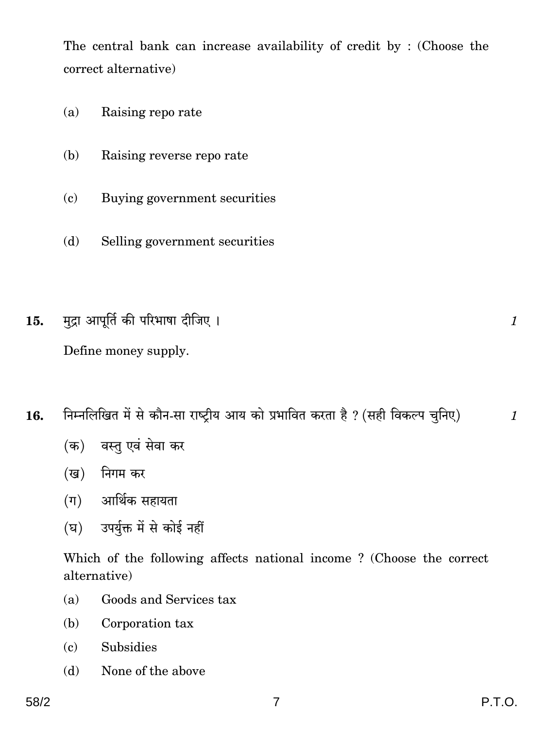The central bank can increase availability of credit by: (Choose the correct alternative)

- Raising reporate  $(a)$
- Raising reverse repo rate  $(h)$
- Buying government securities  $(c)$
- $(b)$ Selling government securities
- मुद्रा आपूर्ति की परिभाषा दीजिए । 15.

Define money supply.

- निम्नलिखित में से कौन-सा राष्टीय आय को प्रभावित करता है ? (सही विकल्प चुनिए) 16.
	- (क) वस्तु एवं सेवा कर
	- (ख) निगम कर
	- (ग) आर्थिक सहायता
	- (घ) उपर्यक्त में से कोई नहीं

Which of the following affects national income? (Choose the correct alternative)

- $(a)$ Goods and Services tax
- (b) Corporation tax
- Subsidies  $(c)$
- None of the above (d)

 $\mathcal{I}_{\mathcal{L}}$ 

 $\mathcal I$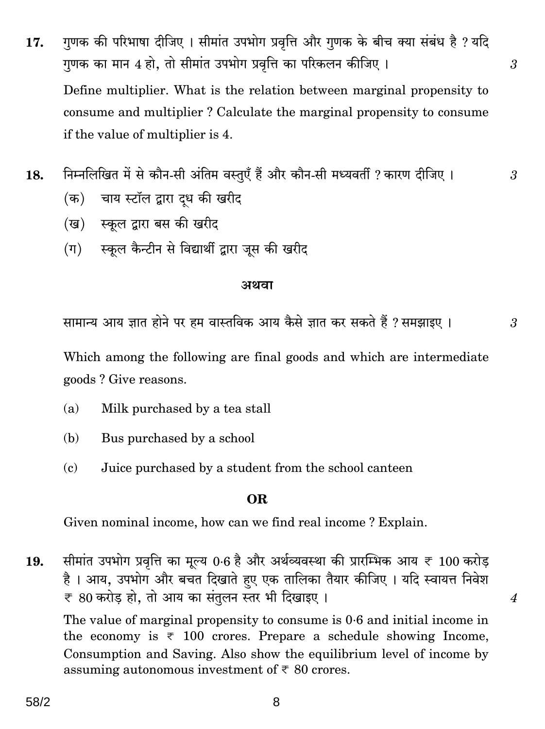गुणक की परिभाषा दीजिए । सीमांत उपभोग प्रवृत्ति और गुणक के बीच क्या संबंध है ? यदि 17. गणक का मान 4 हो. तो सीमांत उपभोग प्रवत्ति का परिकलन कीजिए । Define multiplier. What is the relation between marginal propensity to consume and multiplier? Calculate the marginal propensity to consume if the value of multiplier is 4.

 $\mathfrak{Z}$ 

3

 $\mathfrak{Z}$ 

 $\overline{4}$ 

- निम्नलिखित में से कौन-सी अंतिम वस्तुएँ हैं और कौन-सी मध्यवर्ती ? कारण दीजिए । 18.
	- चाय स्टॉल द्वारा दध की खरीद (क)
	- (ख) स्कूल द्वारा बस की खरीद
	- स्कूल कैन्टीन से विद्यार्थी द्वारा जुस की खरीद  $(\Pi)$

#### अथवा

सामान्य आय ज्ञात होने पर हम वास्तविक आय कैसे ज्ञात कर सकते हैं ? समझाइए ।

Which among the following are final goods and which are intermediate goods? Give reasons.

- Milk purchased by a tea stall  $(a)$
- (b) Bus purchased by a school
- Juice purchased by a student from the school canteen  $(c)$

#### OR.

Given nominal income, how can we find real income? Explain.

सीमांत उपभोग प्रवृत्ति का मूल्य 0.6 है और अर्थव्यवस्था की प्रारम्भिक आय ₹ 100 करोड़ 19. है । आय, उपभोग और बचत दिखाते हुए एक तालिका तैयार कीजिए । यदि स्वायत्त निवेश ₹ 80 करोड़ हो, तो आय का संतुलन स्तर भी दिखाइए।

The value of marginal propensity to consume is 0.6 and initial income in the economy is  $\overline{\tau}$  100 crores. Prepare a schedule showing Income, Consumption and Saving. Also show the equilibrium level of income by assuming autonomous investment of  $\overline{\xi}$  80 crores.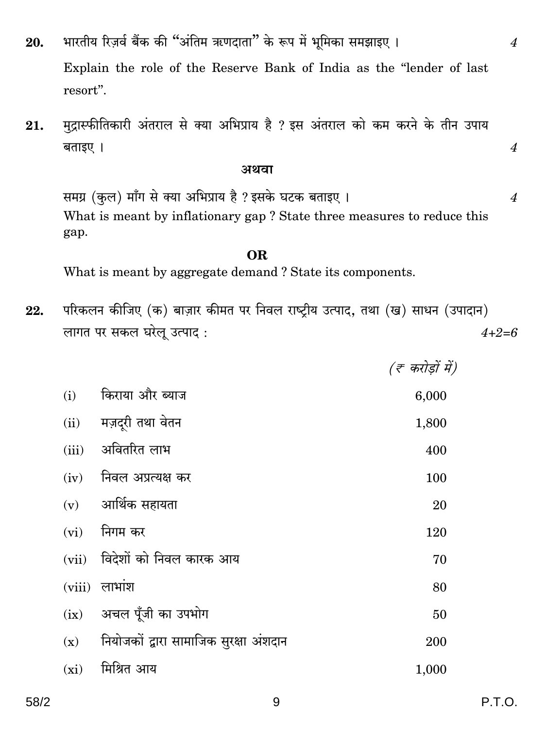- भारतीय रिज़र्व बैंक की "अंतिम ऋणदाता" के रूप में भूमिका समझाइए । 20. Explain the role of the Reserve Bank of India as the "lender of last resort".
- मुद्रास्फीतिकारी अंतराल से क्या अभिप्राय है ? इस अंतराल को कम करने के तीन उपाय 21. बताइए ।

#### अथवा

समग्र (कुल) माँग से क्या अभिप्राय है ? इसके घटक बताइए । What is meant by inflationary gap? State three measures to reduce this gap.

#### OR.

What is meant by aggregate demand? State its components.

परिकलन कीजिए (क) बाज़ार कीमत पर निवल राष्ट्रीय उत्पाद, तथा (ख) साधन (उपादान) 22. लागत पर सकल घरेलू उत्पाद:  $4 + 2 = 6$ 

|        |                                        | (ह करोड़ों में) |
|--------|----------------------------------------|-----------------|
| (i)    | किराया और ब्याज                        | 6,000           |
| (ii)   | मज़दूरी तथा वेतन                       | 1,800           |
| (iii)  | अवितरित लाभ                            | 400             |
| (iv)   | निवल अप्रत्यक्ष कर                     | 100             |
|        | $(v)$ आर्थिक सहायता                    | 20              |
| (vi)   | निगम कर                                | 120             |
| (vii)  | विदेशों को निवल कारक आय                | 70              |
| (viii) | लाभांश                                 | 80              |
| (ix)   | अचल पूँजी का उपभोग                     | 50              |
| (x)    | नियोजकों द्वारा सामाजिक सुरक्षा अंशदान | 200             |
| (xi)   | मिश्रित आय                             | 1,000           |

 $\overline{4}$ 

 $\overline{4}$ 

 $\boldsymbol{4}$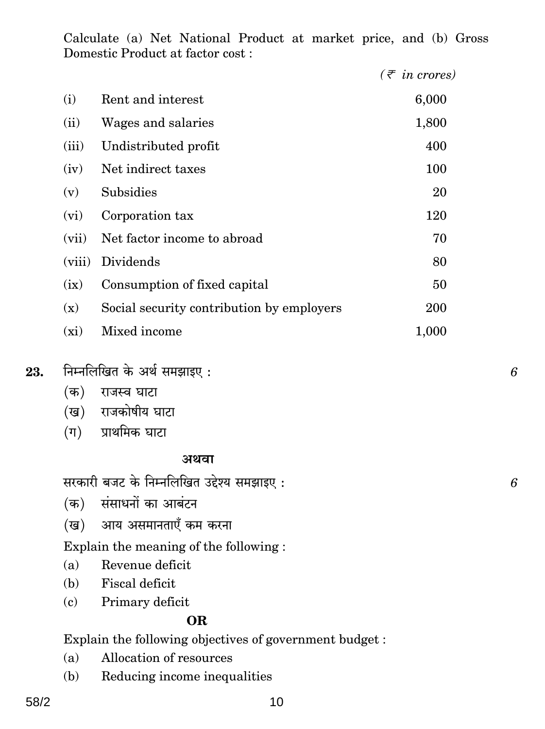Calculate (a) Net National Product at market price, and (b) Gross Domestic Product at factor cost :

|         |                                           | $(\bar{z}$ in crores) |
|---------|-------------------------------------------|-----------------------|
| (i)     | Rent and interest                         | 6,000                 |
| (ii)    | Wages and salaries                        | 1,800                 |
| (iii)   | Undistributed profit                      | 400                   |
| (iv)    | Net indirect taxes                        | 100                   |
| (v)     | Subsidies                                 | 20                    |
| (vi)    | Corporation tax                           | 120                   |
| (vii)   | Net factor income to abroad               | 70                    |
| (viii)  | Dividends                                 | 80                    |
| (ix)    | Consumption of fixed capital              | 50                    |
| (x)     | Social security contribution by employers | 200                   |
| $(x_i)$ | Mixed income                              | 1,000                 |

- $23.$  तिम्नलिखित के अर्थ समझाइए :  $6$ 
	- (क) राजस्व घाटा
	- (ख) राजकोषीय घाटा
	- $(\overline{\mathsf{q}})$  प्राथमिक घाटा

#### **AWdm**

सरकारी बजट के निम्नलिखित उद्देश्य समझाइए :  $\,6\,$ 

- (क) संसाधनों का आबंटन
- (ख) आय असमानताएँ कम करना

Explain the meaning of the following :

- (a) Revenue deficit
- (b) Fiscal deficit
- (c) Primary deficit

### **OR**

Explain the following objectives of government budget :

- (a) Allocation of resources
- (b) Reducing income inequalities